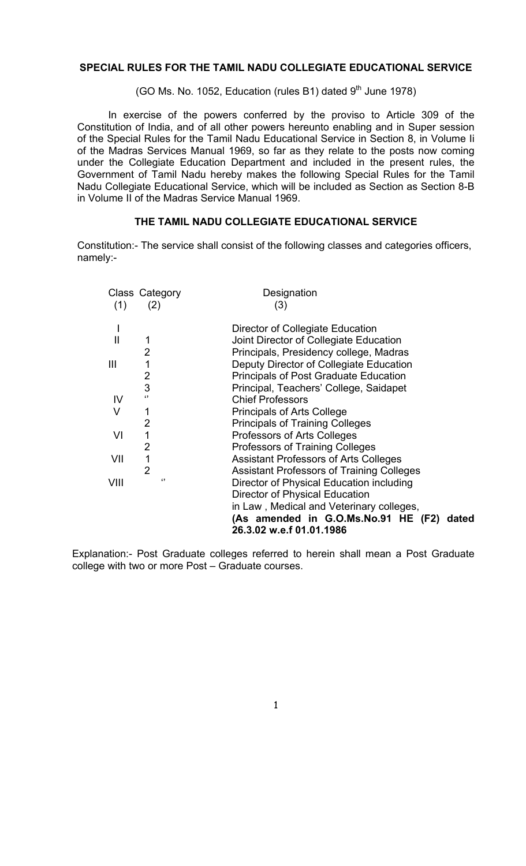### **SPECIAL RULES FOR THE TAMIL NADU COLLEGIATE EDUCATIONAL SERVICE**

(GO Ms. No. 1052, Education (rules B1) dated  $9<sup>th</sup>$  June 1978)

 In exercise of the powers conferred by the proviso to Article 309 of the Constitution of India, and of all other powers hereunto enabling and in Super session of the Special Rules for the Tamil Nadu Educational Service in Section 8, in Volume Ii of the Madras Services Manual 1969, so far as they relate to the posts now coming under the Collegiate Education Department and included in the present rules, the Government of Tamil Nadu hereby makes the following Special Rules for the Tamil Nadu Collegiate Educational Service, which will be included as Section as Section 8-B in Volume II of the Madras Service Manual 1969.

#### **THE TAMIL NADU COLLEGIATE EDUCATIONAL SERVICE**

Constitution:- The service shall consist of the following classes and categories officers, namely:-

| Class Category<br>(1) | (2)            | Designation<br>(3)                               |
|-----------------------|----------------|--------------------------------------------------|
|                       |                |                                                  |
|                       |                | Director of Collegiate Education                 |
| $\mathbf{II}$         | 1              | Joint Director of Collegiate Education           |
|                       | 2              | Principals, Presidency college, Madras           |
| Ш                     | 1              | Deputy Director of Collegiate Education          |
|                       | 2              | <b>Principals of Post Graduate Education</b>     |
|                       | 3              | Principal, Teachers' College, Saidapet           |
| IV                    | $\epsilon$     | <b>Chief Professors</b>                          |
| V                     | 1              | <b>Principals of Arts College</b>                |
|                       | 2              | <b>Principals of Training Colleges</b>           |
| VI                    | 1              | Professors of Arts Colleges                      |
|                       | $\overline{2}$ | Professors of Training Colleges                  |
| VII                   | $\mathbf{1}$   | <b>Assistant Professors of Arts Colleges</b>     |
|                       | $\overline{2}$ | <b>Assistant Professors of Training Colleges</b> |
| VIII                  | $\lq$          | Director of Physical Education including         |
|                       |                | <b>Director of Physical Education</b>            |
|                       |                | in Law, Medical and Veterinary colleges,         |
|                       |                | (As amended in G.O.Ms.No.91 HE (F2)<br>dated     |
|                       |                | 26.3.02 w.e.f 01.01.1986                         |

Explanation:- Post Graduate colleges referred to herein shall mean a Post Graduate college with two or more Post – Graduate courses.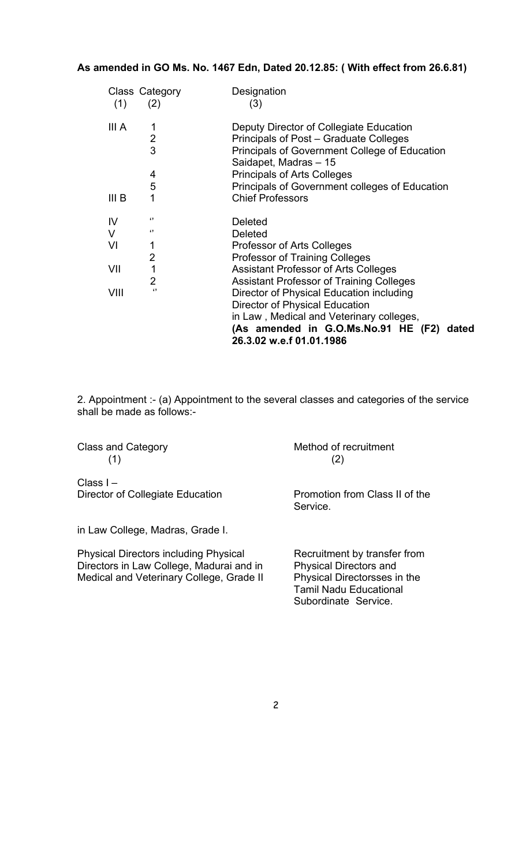## **As amended in GO Ms. No. 1467 Edn, Dated 20.12.85: ( With effect from 26.6.81)**

|                  | Class Category | Designation                                                                                                                                                   |
|------------------|----------------|---------------------------------------------------------------------------------------------------------------------------------------------------------------|
| (1)              | (2)            | (3)                                                                                                                                                           |
| III A            |                | Deputy Director of Collegiate Education                                                                                                                       |
|                  | $\overline{2}$ | Principals of Post – Graduate Colleges                                                                                                                        |
|                  | 3              | Principals of Government College of Education<br>Saidapet, Madras - 15                                                                                        |
|                  | 4              | <b>Principals of Arts Colleges</b>                                                                                                                            |
|                  | 5              | Principals of Government colleges of Education                                                                                                                |
| III <sub>B</sub> |                | <b>Chief Professors</b>                                                                                                                                       |
| IV               | "              | <b>Deleted</b>                                                                                                                                                |
| V                | "              | <b>Deleted</b>                                                                                                                                                |
| VI               |                | Professor of Arts Colleges                                                                                                                                    |
|                  | 2              | <b>Professor of Training Colleges</b>                                                                                                                         |
| VII              | 1              | <b>Assistant Professor of Arts Colleges</b>                                                                                                                   |
|                  | 2              | <b>Assistant Professor of Training Colleges</b>                                                                                                               |
| VIII             | $\lq$          | Director of Physical Education including                                                                                                                      |
|                  |                | <b>Director of Physical Education</b><br>in Law, Medical and Veterinary colleges,<br>(As amended in G.O.Ms.No.91 HE (F2)<br>dated<br>26.3.02 w.e.f 01.01.1986 |

2. Appointment :- (a) Appointment to the several classes and categories of the service shall be made as follows:-

 $(1)$  (2)

Class and Category **Method of recruitment** 

Class I – Director of Collegiate Education Promotion from Class II of the

in Law College, Madras, Grade I.

Physical Directors including Physical Recruitment by transfer from<br>Directors in Law College, Madurai and in Physical Directors and Directors in Law College, Madurai and in Medical and Veterinary College, Grade II Physical Directorsses in the

Service.

Tamil Nadu Educational Subordinate Service.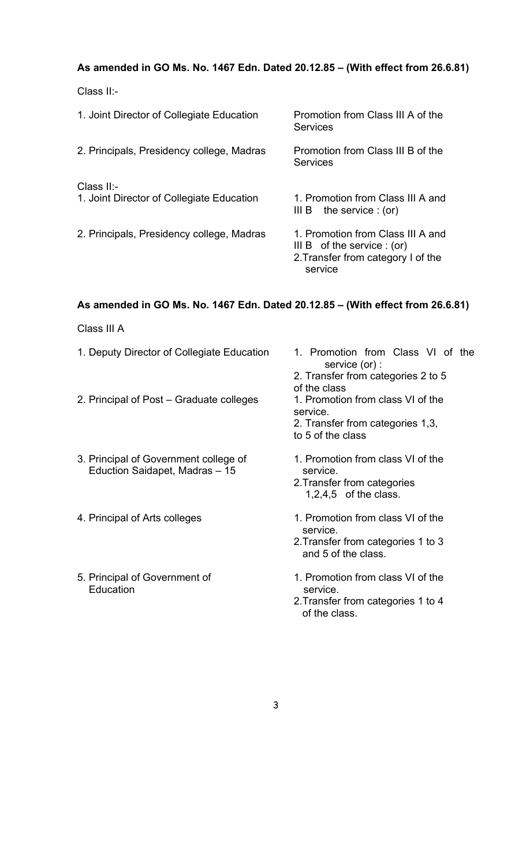# **As amended in GO Ms. No. 1467 Edn. Dated 20.12.85 – (With effect from 26.6.81)**

Class II:-

| 1. Joint Director of Collegiate Education               | Promotion from Class III A of the<br>Services                                                                       |
|---------------------------------------------------------|---------------------------------------------------------------------------------------------------------------------|
| 2. Principals, Presidency college, Madras               | Promotion from Class III B of the<br><b>Services</b>                                                                |
| Class II:-<br>1. Joint Director of Collegiate Education | 1. Promotion from Class III A and<br>the service $: (or)$<br>III B                                                  |
| 2. Principals, Presidency college, Madras               | 1. Promotion from Class III A and<br>III B of the service $: (or)$<br>2. Transfer from category I of the<br>service |

# **As amended in GO Ms. No. 1467 Edn. Dated 20.12.85 – (With effect from 26.6.81)**

Class III A

| 1. Deputy Director of Collegiate Education                              | 1. Promotion from Class VI of the<br>service (or) :<br>2. Transfer from categories 2 to 5<br>of the class  |
|-------------------------------------------------------------------------|------------------------------------------------------------------------------------------------------------|
| 2. Principal of Post – Graduate colleges                                | 1. Promotion from class VI of the<br>service.<br>2. Transfer from categories 1,3,<br>to 5 of the class     |
| 3. Principal of Government college of<br>Eduction Saidapet, Madras - 15 | 1. Promotion from class VI of the<br>service.<br>2. Transfer from categories<br>$1,2,4,5$ of the class.    |
| 4. Principal of Arts colleges                                           | 1. Promotion from class VI of the<br>service.<br>2. Transfer from categories 1 to 3<br>and 5 of the class. |
| 5. Principal of Government of<br>Education                              | 1. Promotion from class VI of the<br>service.<br>2. Transfer from categories 1 to 4                        |

of the class.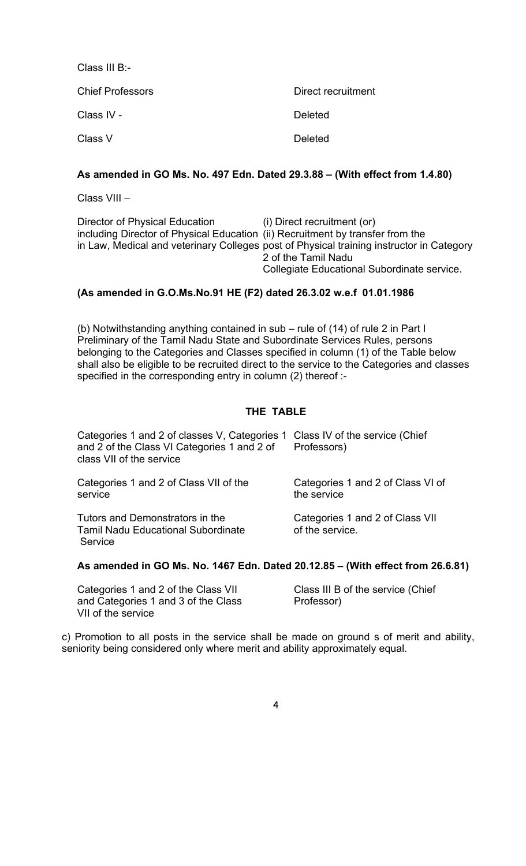Class III B:- Chief Professors **Direct recruitment** Class IV - **Deleted** Class V Deleted

## **As amended in GO Ms. No. 497 Edn. Dated 29.3.88 – (With effect from 1.4.80)**

Class VIII –

| Director of Physical Education                                                 | (i) Direct recruitment (or)                                                              |
|--------------------------------------------------------------------------------|------------------------------------------------------------------------------------------|
| including Director of Physical Education (ii) Recruitment by transfer from the |                                                                                          |
|                                                                                | in Law, Medical and veterinary Colleges post of Physical training instructor in Category |
|                                                                                | 2 of the Tamil Nadu                                                                      |
|                                                                                | Collegiate Educational Subordinate service.                                              |

## **(As amended in G.O.Ms.No.91 HE (F2) dated 26.3.02 w.e.f 01.01.1986**

(b) Notwithstanding anything contained in sub – rule of (14) of rule 2 in Part I Preliminary of the Tamil Nadu State and Subordinate Services Rules, persons belonging to the Categories and Classes specified in column (1) of the Table below shall also be eligible to be recruited direct to the service to the Categories and classes specified in the corresponding entry in column (2) thereof :-

## **THE TABLE**

| Categories 1 and 2 of classes V, Categories 1 Class IV of the service (Chief<br>and 2 of the Class VI Categories 1 and 2 of<br>class VII of the service | Professors)                                        |
|---------------------------------------------------------------------------------------------------------------------------------------------------------|----------------------------------------------------|
| Categories 1 and 2 of Class VII of the<br>service                                                                                                       | Categories 1 and 2 of Class VI of<br>the service   |
| Tutors and Demonstrators in the<br><b>Tamil Nadu Educational Subordinate</b><br>Service                                                                 | Categories 1 and 2 of Class VII<br>of the service. |

#### **As amended in GO Ms. No. 1467 Edn. Dated 20.12.85 – (With effect from 26.6.81)**

Categories 1 and 2 of the Class VII Class III B of the service (Chief and Categories 1 and 3 of the Class Professor) VII of the service

c) Promotion to all posts in the service shall be made on ground s of merit and ability, seniority being considered only where merit and ability approximately equal.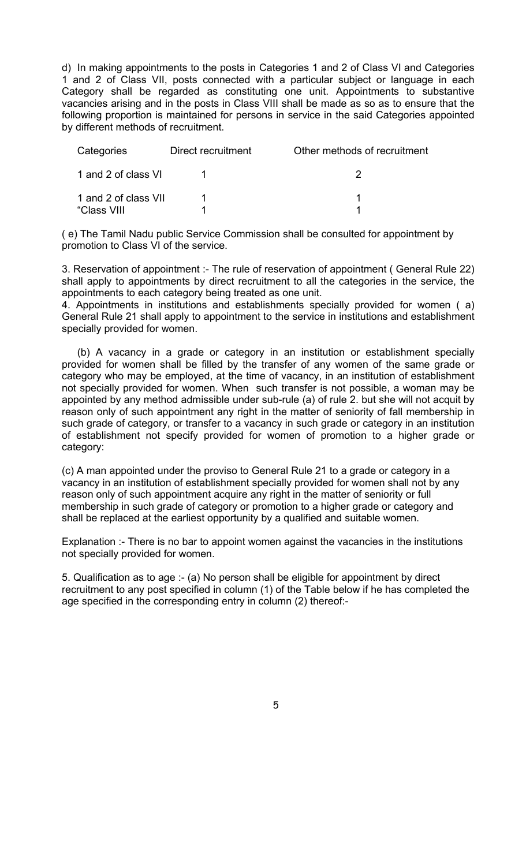d) In making appointments to the posts in Categories 1 and 2 of Class VI and Categories 1 and 2 of Class VII, posts connected with a particular subject or language in each Category shall be regarded as constituting one unit. Appointments to substantive vacancies arising and in the posts in Class VIII shall be made as so as to ensure that the following proportion is maintained for persons in service in the said Categories appointed by different methods of recruitment.

| Categories                          | Direct recruitment | Other methods of recruitment |
|-------------------------------------|--------------------|------------------------------|
| 1 and 2 of class VI                 |                    |                              |
| 1 and 2 of class VII<br>"Class VIII |                    |                              |

( e) The Tamil Nadu public Service Commission shall be consulted for appointment by promotion to Class VI of the service.

3. Reservation of appointment :- The rule of reservation of appointment ( General Rule 22) shall apply to appointments by direct recruitment to all the categories in the service, the appointments to each category being treated as one unit.

4. Appointments in institutions and establishments specially provided for women ( a) General Rule 21 shall apply to appointment to the service in institutions and establishment specially provided for women.

 (b) A vacancy in a grade or category in an institution or establishment specially provided for women shall be filled by the transfer of any women of the same grade or category who may be employed, at the time of vacancy, in an institution of establishment not specially provided for women. When such transfer is not possible, a woman may be appointed by any method admissible under sub-rule (a) of rule 2. but she will not acquit by reason only of such appointment any right in the matter of seniority of fall membership in such grade of category, or transfer to a vacancy in such grade or category in an institution of establishment not specify provided for women of promotion to a higher grade or category:

(c) A man appointed under the proviso to General Rule 21 to a grade or category in a vacancy in an institution of establishment specially provided for women shall not by any reason only of such appointment acquire any right in the matter of seniority or full membership in such grade of category or promotion to a higher grade or category and shall be replaced at the earliest opportunity by a qualified and suitable women.

Explanation :- There is no bar to appoint women against the vacancies in the institutions not specially provided for women.

5. Qualification as to age :- (a) No person shall be eligible for appointment by direct recruitment to any post specified in column (1) of the Table below if he has completed the age specified in the corresponding entry in column (2) thereof:-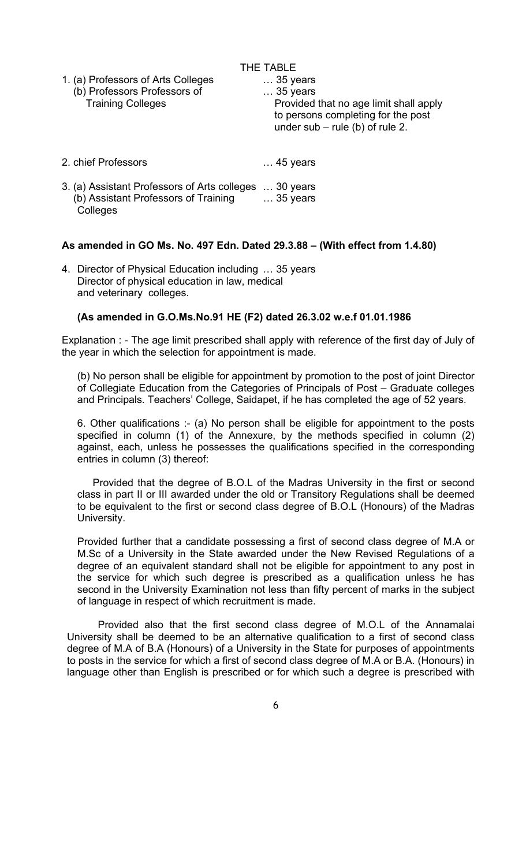| 1. (a) Professors of Arts Colleges<br>(b) Professors Professors of<br><b>Training Colleges</b> | THE TABLE<br>$\ldots$ 35 years<br>$\ldots$ 35 years<br>Provided that no age limit shall apply<br>to persons completing for the post<br>under $sub$ – rule (b) of rule 2. |
|------------------------------------------------------------------------------------------------|--------------------------------------------------------------------------------------------------------------------------------------------------------------------------|
| 2. chief Professors                                                                            | $\ldots$ 45 years                                                                                                                                                        |

3. (a) Assistant Professors of Arts colleges … 30 years (b) Assistant Professors of Training … 35 years **Colleges** 

#### **As amended in GO Ms. No. 497 Edn. Dated 29.3.88 – (With effect from 1.4.80)**

4. Director of Physical Education including … 35 years Director of physical education in law, medical and veterinary colleges.

### **(As amended in G.O.Ms.No.91 HE (F2) dated 26.3.02 w.e.f 01.01.1986**

Explanation : - The age limit prescribed shall apply with reference of the first day of July of the year in which the selection for appointment is made.

(b) No person shall be eligible for appointment by promotion to the post of joint Director of Collegiate Education from the Categories of Principals of Post – Graduate colleges and Principals. Teachers' College, Saidapet, if he has completed the age of 52 years.

6. Other qualifications :- (a) No person shall be eligible for appointment to the posts specified in column (1) of the Annexure, by the methods specified in column (2) against, each, unless he possesses the qualifications specified in the corresponding entries in column (3) thereof:

Provided that the degree of B.O.L of the Madras University in the first or second class in part II or III awarded under the old or Transitory Regulations shall be deemed to be equivalent to the first or second class degree of B.O.L (Honours) of the Madras University.

Provided further that a candidate possessing a first of second class degree of M.A or M.Sc of a University in the State awarded under the New Revised Regulations of a degree of an equivalent standard shall not be eligible for appointment to any post in the service for which such degree is prescribed as a qualification unless he has second in the University Examination not less than fifty percent of marks in the subject of language in respect of which recruitment is made.

Provided also that the first second class degree of M.O.L of the Annamalai University shall be deemed to be an alternative qualification to a first of second class degree of M.A of B.A (Honours) of a University in the State for purposes of appointments to posts in the service for which a first of second class degree of M.A or B.A. (Honours) in language other than English is prescribed or for which such a degree is prescribed with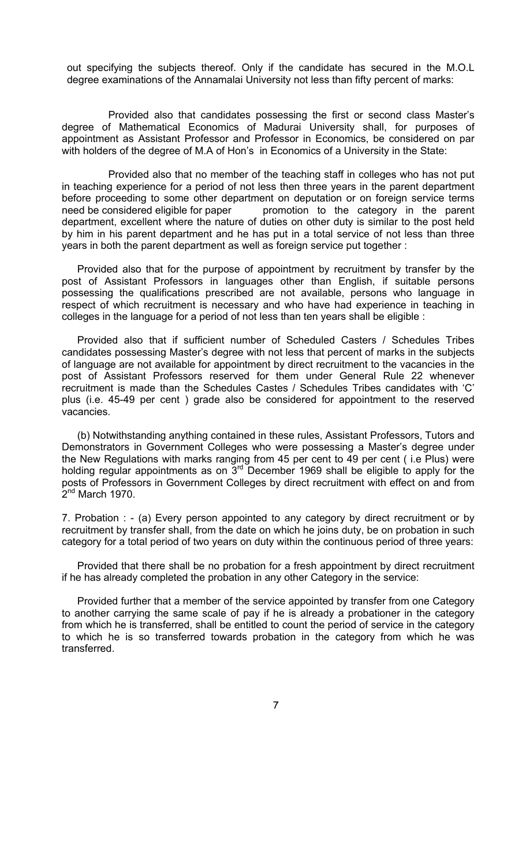out specifying the subjects thereof. Only if the candidate has secured in the M.O.L degree examinations of the Annamalai University not less than fifty percent of marks:

 Provided also that candidates possessing the first or second class Master's degree of Mathematical Economics of Madurai University shall, for purposes of appointment as Assistant Professor and Professor in Economics, be considered on par with holders of the degree of M.A of Hon's in Economics of a University in the State:

 Provided also that no member of the teaching staff in colleges who has not put in teaching experience for a period of not less then three years in the parent department before proceeding to some other department on deputation or on foreign service terms need be considered eligible for paper promotion to the category in the parent department, excellent where the nature of duties on other duty is similar to the post held by him in his parent department and he has put in a total service of not less than three years in both the parent department as well as foreign service put together :

 Provided also that for the purpose of appointment by recruitment by transfer by the post of Assistant Professors in languages other than English, if suitable persons possessing the qualifications prescribed are not available, persons who language in respect of which recruitment is necessary and who have had experience in teaching in colleges in the language for a period of not less than ten years shall be eligible :

 Provided also that if sufficient number of Scheduled Casters / Schedules Tribes candidates possessing Master's degree with not less that percent of marks in the subjects of language are not available for appointment by direct recruitment to the vacancies in the post of Assistant Professors reserved for them under General Rule 22 whenever recruitment is made than the Schedules Castes / Schedules Tribes candidates with 'C' plus (i.e. 45-49 per cent ) grade also be considered for appointment to the reserved vacancies.

 (b) Notwithstanding anything contained in these rules, Assistant Professors, Tutors and Demonstrators in Government Colleges who were possessing a Master's degree under the New Regulations with marks ranging from 45 per cent to 49 per cent ( i.e Plus) were holding regular appointments as on  $3<sup>rd</sup>$  December 1969 shall be eligible to apply for the posts of Professors in Government Colleges by direct recruitment with effect on and from  $2<sup>nd</sup>$  March 1970.

7. Probation : - (a) Every person appointed to any category by direct recruitment or by recruitment by transfer shall, from the date on which he joins duty, be on probation in such category for a total period of two years on duty within the continuous period of three years:

 Provided that there shall be no probation for a fresh appointment by direct recruitment if he has already completed the probation in any other Category in the service:

 Provided further that a member of the service appointed by transfer from one Category to another carrying the same scale of pay if he is already a probationer in the category from which he is transferred, shall be entitled to count the period of service in the category to which he is so transferred towards probation in the category from which he was transferred.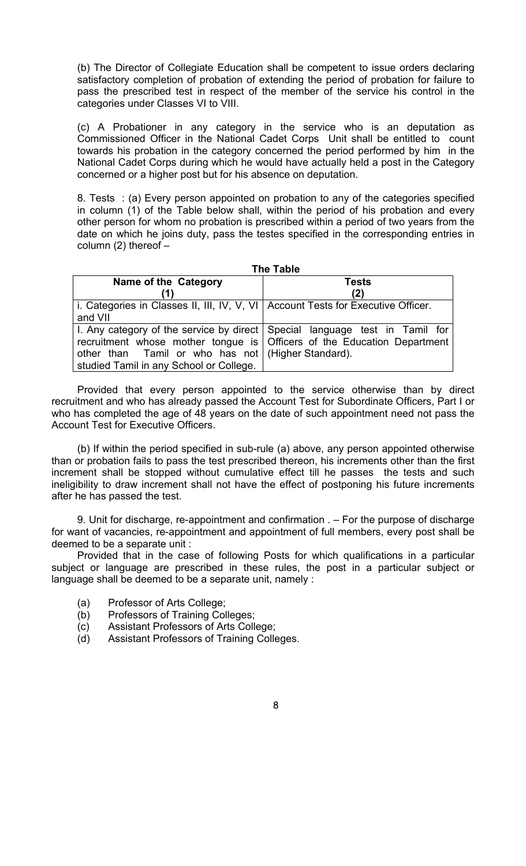(b) The Director of Collegiate Education shall be competent to issue orders declaring satisfactory completion of probation of extending the period of probation for failure to pass the prescribed test in respect of the member of the service his control in the categories under Classes VI to VIII.

(c) A Probationer in any category in the service who is an deputation as Commissioned Officer in the National Cadet Corps Unit shall be entitled to count towards his probation in the category concerned the period performed by him in the National Cadet Corps during which he would have actually held a post in the Category concerned or a higher post but for his absence on deputation.

8. Tests : (a) Every person appointed on probation to any of the categories specified in column (1) of the Table below shall, within the period of his probation and every other person for whom no probation is prescribed within a period of two years from the date on which he joins duty, pass the testes specified in the corresponding entries in column  $(2)$  thereof  $-$ 

| <b>The Table</b>                                                                              |                                                                                                                                                          |  |
|-----------------------------------------------------------------------------------------------|----------------------------------------------------------------------------------------------------------------------------------------------------------|--|
| Name of the Category                                                                          | Tests                                                                                                                                                    |  |
|                                                                                               | (2)                                                                                                                                                      |  |
| i. Categories in Classes II, III, IV, V, VI   Account Tests for Executive Officer.<br>and VII |                                                                                                                                                          |  |
| other than Tamil or who has not (Higher Standard).<br>studied Tamil in any School or College. | I. Any category of the service by direct Special language test in Tamil for<br>recruitment whose mother tongue is   Officers of the Education Department |  |

Provided that every person appointed to the service otherwise than by direct recruitment and who has already passed the Account Test for Subordinate Officers, Part I or who has completed the age of 48 years on the date of such appointment need not pass the Account Test for Executive Officers.

(b) If within the period specified in sub-rule (a) above, any person appointed otherwise than or probation fails to pass the test prescribed thereon, his increments other than the first increment shall be stopped without cumulative effect till he passes the tests and such ineligibility to draw increment shall not have the effect of postponing his future increments after he has passed the test.

9. Unit for discharge, re-appointment and confirmation . – For the purpose of discharge for want of vacancies, re-appointment and appointment of full members, every post shall be deemed to be a separate unit :

Provided that in the case of following Posts for which qualifications in a particular subject or language are prescribed in these rules, the post in a particular subject or language shall be deemed to be a separate unit, namely :

- (a) Professor of Arts College;
- (b) Professors of Training Colleges;
- (c) Assistant Professors of Arts College;
- (d) Assistant Professors of Training Colleges.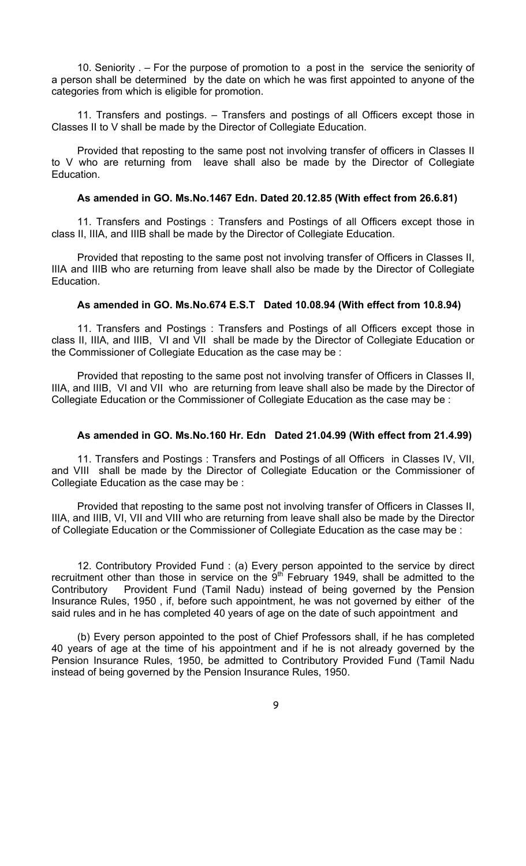10. Seniority . – For the purpose of promotion to a post in the service the seniority of a person shall be determined by the date on which he was first appointed to anyone of the categories from which is eligible for promotion.

11. Transfers and postings. – Transfers and postings of all Officers except those in Classes II to V shall be made by the Director of Collegiate Education.

Provided that reposting to the same post not involving transfer of officers in Classes II to V who are returning from leave shall also be made by the Director of Collegiate **Education** 

#### **As amended in GO. Ms.No.1467 Edn. Dated 20.12.85 (With effect from 26.6.81)**

11. Transfers and Postings : Transfers and Postings of all Officers except those in class II, IIIA, and IIIB shall be made by the Director of Collegiate Education.

Provided that reposting to the same post not involving transfer of Officers in Classes II, IIIA and IIIB who are returning from leave shall also be made by the Director of Collegiate Education.

## **As amended in GO. Ms.No.674 E.S.T Dated 10.08.94 (With effect from 10.8.94)**

11. Transfers and Postings : Transfers and Postings of all Officers except those in class II, IIIA, and IIIB, VI and VII shall be made by the Director of Collegiate Education or the Commissioner of Collegiate Education as the case may be :

Provided that reposting to the same post not involving transfer of Officers in Classes II, IIIA, and IIIB, VI and VII who are returning from leave shall also be made by the Director of Collegiate Education or the Commissioner of Collegiate Education as the case may be :

#### **As amended in GO. Ms.No.160 Hr. Edn Dated 21.04.99 (With effect from 21.4.99)**

11. Transfers and Postings : Transfers and Postings of all Officers in Classes IV, VII, and VIII shall be made by the Director of Collegiate Education or the Commissioner of Collegiate Education as the case may be :

Provided that reposting to the same post not involving transfer of Officers in Classes II, IIIA, and IIIB, VI, VII and VIII who are returning from leave shall also be made by the Director of Collegiate Education or the Commissioner of Collegiate Education as the case may be :

12. Contributory Provided Fund : (a) Every person appointed to the service by direct recruitment other than those in service on the  $9<sup>th</sup>$  February 1949, shall be admitted to the Contributory Provident Fund (Tamil Nadu) instead of being governed by the Pension Insurance Rules, 1950 , if, before such appointment, he was not governed by either of the said rules and in he has completed 40 years of age on the date of such appointment and

(b) Every person appointed to the post of Chief Professors shall, if he has completed 40 years of age at the time of his appointment and if he is not already governed by the Pension Insurance Rules, 1950, be admitted to Contributory Provided Fund (Tamil Nadu instead of being governed by the Pension Insurance Rules, 1950.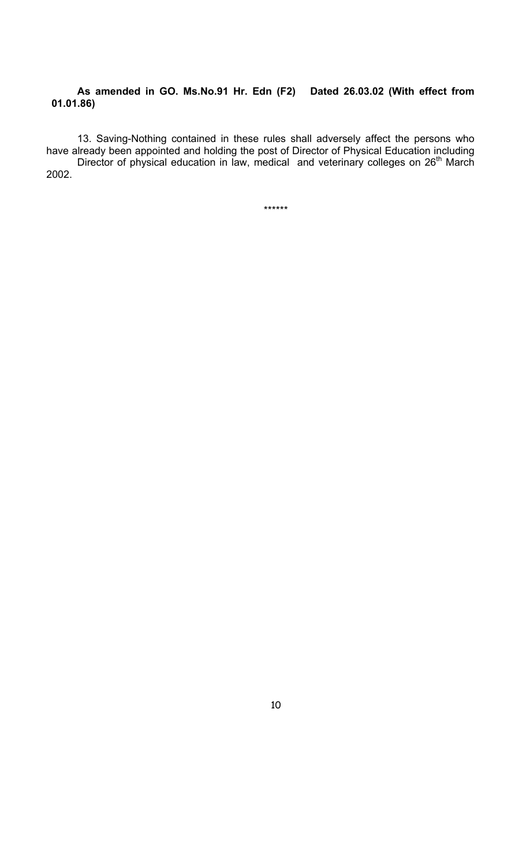### **As amended in GO. Ms.No.91 Hr. Edn (F2) Dated 26.03.02 (With effect from 01.01.86)**

13. Saving-Nothing contained in these rules shall adversely affect the persons who have already been appointed and holding the post of Director of Physical Education including Director of physical education in law, medical and veterinary colleges on 26<sup>th</sup> March 2002.

\*\*\*\*\*\*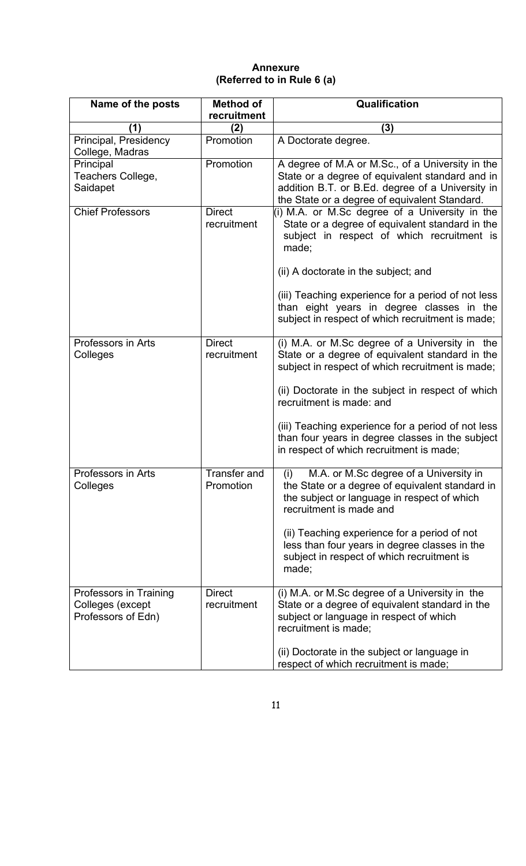## **Annexure (Referred to in Rule 6 (a)**

| Name of the posts                                                | <b>Method of</b><br>recruitment  | Qualification                                                                                                                                                                                                                                                                                                                                                                                |
|------------------------------------------------------------------|----------------------------------|----------------------------------------------------------------------------------------------------------------------------------------------------------------------------------------------------------------------------------------------------------------------------------------------------------------------------------------------------------------------------------------------|
| (1)                                                              | (2)                              | (3)                                                                                                                                                                                                                                                                                                                                                                                          |
| Principal, Presidency<br>College, Madras                         | Promotion                        | A Doctorate degree.                                                                                                                                                                                                                                                                                                                                                                          |
| Principal<br>Teachers College,<br>Saidapet                       | Promotion                        | A degree of M.A or M.Sc., of a University in the<br>State or a degree of equivalent standard and in<br>addition B.T. or B.Ed. degree of a University in<br>the State or a degree of equivalent Standard.                                                                                                                                                                                     |
| <b>Chief Professors</b>                                          | <b>Direct</b><br>recruitment     | (i) M.A. or M.Sc degree of a University in the<br>State or a degree of equivalent standard in the<br>subject in respect of which recruitment is<br>made;                                                                                                                                                                                                                                     |
|                                                                  |                                  | (ii) A doctorate in the subject; and                                                                                                                                                                                                                                                                                                                                                         |
|                                                                  |                                  | (iii) Teaching experience for a period of not less<br>than eight years in degree classes in the<br>subject in respect of which recruitment is made;                                                                                                                                                                                                                                          |
| Professors in Arts<br>Colleges                                   | <b>Direct</b><br>recruitment     | (i) M.A. or M.Sc degree of a University in the<br>State or a degree of equivalent standard in the<br>subject in respect of which recruitment is made;<br>(ii) Doctorate in the subject in respect of which<br>recruitment is made: and<br>(iii) Teaching experience for a period of not less<br>than four years in degree classes in the subject<br>in respect of which recruitment is made; |
|                                                                  |                                  |                                                                                                                                                                                                                                                                                                                                                                                              |
| Professors in Arts<br>Colleges                                   | <b>Transfer and</b><br>Promotion | (i)<br>M.A. or M.Sc degree of a University in<br>the State or a degree of equivalent standard in<br>the subject or language in respect of which<br>recruitment is made and<br>(ii) Teaching experience for a period of not<br>less than four years in degree classes in the<br>subject in respect of which recruitment is<br>made;                                                           |
| Professors in Training<br>Colleges (except<br>Professors of Edn) | <b>Direct</b><br>recruitment     | (i) M.A. or M.Sc degree of a University in the<br>State or a degree of equivalent standard in the<br>subject or language in respect of which<br>recruitment is made;                                                                                                                                                                                                                         |
|                                                                  |                                  | (ii) Doctorate in the subject or language in<br>respect of which recruitment is made;                                                                                                                                                                                                                                                                                                        |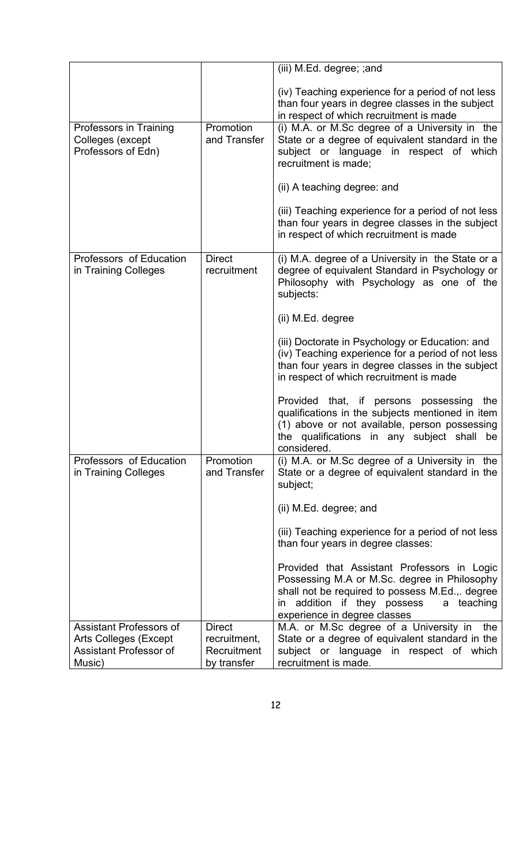|                                                                                                           |                                                             | (iii) M.Ed. degree; ; and                                                                                                                                                                                                      |
|-----------------------------------------------------------------------------------------------------------|-------------------------------------------------------------|--------------------------------------------------------------------------------------------------------------------------------------------------------------------------------------------------------------------------------|
|                                                                                                           |                                                             | (iv) Teaching experience for a period of not less<br>than four years in degree classes in the subject<br>in respect of which recruitment is made                                                                               |
| Professors in Training<br>Colleges (except<br>Professors of Edn)                                          | Promotion<br>and Transfer                                   | (i) M.A. or M.Sc degree of a University in the<br>State or a degree of equivalent standard in the<br>subject or language in respect of which<br>recruitment is made:                                                           |
|                                                                                                           |                                                             | (ii) A teaching degree: and                                                                                                                                                                                                    |
|                                                                                                           |                                                             | (iii) Teaching experience for a period of not less<br>than four years in degree classes in the subject<br>in respect of which recruitment is made                                                                              |
| Professors of Education<br>in Training Colleges                                                           | <b>Direct</b><br>recruitment                                | (i) M.A. degree of a University in the State or a<br>degree of equivalent Standard in Psychology or<br>Philosophy with Psychology as one of the<br>subjects:                                                                   |
|                                                                                                           |                                                             | (ii) M.Ed. degree                                                                                                                                                                                                              |
|                                                                                                           |                                                             | (iii) Doctorate in Psychology or Education: and<br>(iv) Teaching experience for a period of not less<br>than four years in degree classes in the subject<br>in respect of which recruitment is made                            |
|                                                                                                           |                                                             | Provided that, if persons<br>possessing<br>the<br>qualifications in the subjects mentioned in item<br>(1) above or not available, person possessing<br>the qualifications in any subject shall<br>be<br>considered.            |
| Professors of Education<br>in Training Colleges                                                           | Promotion<br>and Transfer                                   | (i) M.A. or M.Sc degree of a University in the<br>State or a degree of equivalent standard in the<br>subject;                                                                                                                  |
|                                                                                                           |                                                             | (ii) M.Ed. degree; and                                                                                                                                                                                                         |
|                                                                                                           |                                                             | (iii) Teaching experience for a period of not less<br>than four years in degree classes:                                                                                                                                       |
|                                                                                                           |                                                             | Provided that Assistant Professors in Logic<br>Possessing M.A or M.Sc. degree in Philosophy<br>shall not be required to possess M.Ed.,. degree<br>addition if they possess<br>a teaching<br>in<br>experience in degree classes |
| <b>Assistant Professors of</b><br><b>Arts Colleges (Except</b><br><b>Assistant Professor of</b><br>Music) | <b>Direct</b><br>recruitment,<br>Recruitment<br>by transfer | M.A. or M.Sc degree of a University in<br>the<br>State or a degree of equivalent standard in the<br>subject or language in respect of which<br>recruitment is made.                                                            |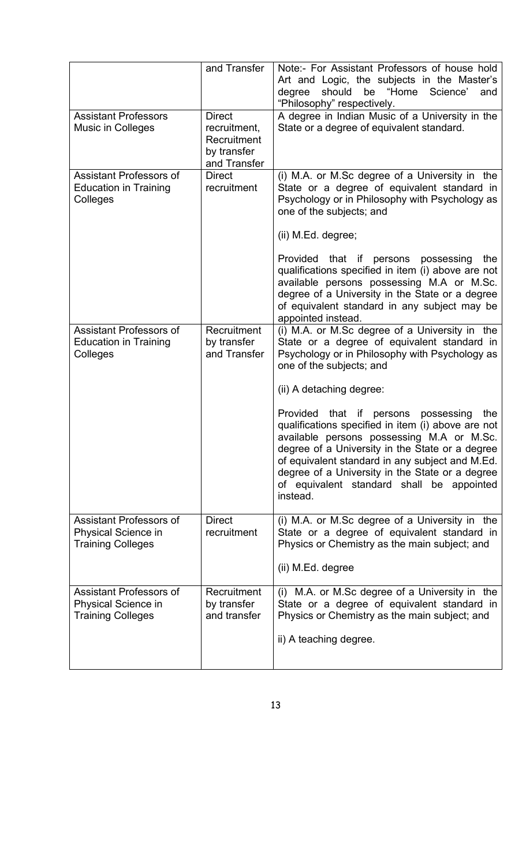|                                                                                   | and Transfer                                                                | Note:- For Assistant Professors of house hold<br>Art and Logic, the subjects in the Master's<br>should<br>be "Home<br>degree<br>Science'<br>and<br>"Philosophy" respectively.                                                                                                                                                                                   |
|-----------------------------------------------------------------------------------|-----------------------------------------------------------------------------|-----------------------------------------------------------------------------------------------------------------------------------------------------------------------------------------------------------------------------------------------------------------------------------------------------------------------------------------------------------------|
| <b>Assistant Professors</b><br><b>Music in Colleges</b>                           | <b>Direct</b><br>recruitment,<br>Recruitment<br>by transfer<br>and Transfer | A degree in Indian Music of a University in the<br>State or a degree of equivalent standard.                                                                                                                                                                                                                                                                    |
| <b>Assistant Professors of</b><br><b>Education in Training</b><br>Colleges        | <b>Direct</b><br>recruitment                                                | (i) M.A. or M.Sc degree of a University in the<br>State or a degree of equivalent standard in<br>Psychology or in Philosophy with Psychology as<br>one of the subjects; and                                                                                                                                                                                     |
|                                                                                   |                                                                             | (ii) M.Ed. degree;                                                                                                                                                                                                                                                                                                                                              |
|                                                                                   |                                                                             | Provided that if persons possessing<br>the<br>qualifications specified in item (i) above are not<br>available persons possessing M.A or M.Sc.<br>degree of a University in the State or a degree<br>of equivalent standard in any subject may be<br>appointed instead.                                                                                          |
| <b>Assistant Professors of</b><br><b>Education in Training</b><br>Colleges        | Recruitment<br>by transfer<br>and Transfer                                  | (i) M.A. or M.Sc degree of a University in the<br>State or a degree of equivalent standard in<br>Psychology or in Philosophy with Psychology as<br>one of the subjects; and                                                                                                                                                                                     |
|                                                                                   |                                                                             | (ii) A detaching degree:                                                                                                                                                                                                                                                                                                                                        |
|                                                                                   |                                                                             | Provided that if persons possessing<br>the<br>qualifications specified in item (i) above are not<br>available persons possessing M.A or M.Sc.<br>degree of a University in the State or a degree<br>of equivalent standard in any subject and M.Ed.<br>degree of a University in the State or a degree<br>of equivalent standard shall be appointed<br>instead. |
| <b>Assistant Professors of</b><br>Physical Science in<br><b>Training Colleges</b> | <b>Direct</b><br>recruitment                                                | (i) M.A. or M.Sc degree of a University in the<br>State or a degree of equivalent standard in<br>Physics or Chemistry as the main subject; and                                                                                                                                                                                                                  |
|                                                                                   |                                                                             | (ii) M.Ed. degree                                                                                                                                                                                                                                                                                                                                               |
| Assistant Professors of<br>Physical Science in<br><b>Training Colleges</b>        | Recruitment<br>by transfer<br>and transfer                                  | M.A. or M.Sc degree of a University in the<br>(i)<br>State or a degree of equivalent standard in<br>Physics or Chemistry as the main subject; and                                                                                                                                                                                                               |
|                                                                                   |                                                                             | ii) A teaching degree.                                                                                                                                                                                                                                                                                                                                          |